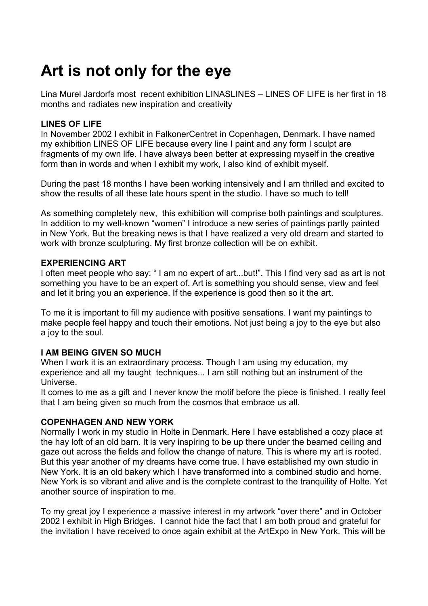# **Art is not only for the eye**

Lina Murel Jardorfs most recent exhibition LINASLINES – LINES OF LIFE is her first in 18 months and radiates new inspiration and creativity

## **LINES OF LIFE**

In November 2002 I exhibit in FalkonerCentret in Copenhagen, Denmark. I have named my exhibition LINES OF LIFE because every line I paint and any form I sculpt are fragments of my own life. I have always been better at expressing myself in the creative form than in words and when I exhibit my work, I also kind of exhibit myself.

During the past 18 months I have been working intensively and I am thrilled and excited to show the results of all these late hours spent in the studio. I have so much to tell!

As something completely new, this exhibition will comprise both paintings and sculptures. In addition to my well-known "women" I introduce a new series of paintings partly painted in New York. But the breaking news is that I have realized a very old dream and started to work with bronze sculpturing. My first bronze collection will be on exhibit.

### **EXPERIENCING ART**

I often meet people who say: " I am no expert of art...but!". This I find very sad as art is not something you have to be an expert of. Art is something you should sense, view and feel and let it bring you an experience. If the experience is good then so it the art.

To me it is important to fill my audience with positive sensations. I want my paintings to make people feel happy and touch their emotions. Not just being a joy to the eye but also a joy to the soul.

# **I AM BEING GIVEN SO MUCH**

When I work it is an extraordinary process. Though I am using my education, my experience and all my taught techniques... I am still nothing but an instrument of the Universe.

It comes to me as a gift and I never know the motif before the piece is finished. I really feel that I am being given so much from the cosmos that embrace us all.

### **COPENHAGEN AND NEW YORK**

Normally I work in my studio in Holte in Denmark. Here I have established a cozy place at the hay loft of an old barn. It is very inspiring to be up there under the beamed ceiling and gaze out across the fields and follow the change of nature. This is where my art is rooted. But this year another of my dreams have come true. I have established my own studio in New York. It is an old bakery which I have transformed into a combined studio and home. New York is so vibrant and alive and is the complete contrast to the tranquility of Holte. Yet another source of inspiration to me.

To my great joy I experience a massive interest in my artwork "over there" and in October 2002 I exhibit in High Bridges. I cannot hide the fact that I am both proud and grateful for the invitation I have received to once again exhibit at the ArtExpo in New York. This will be